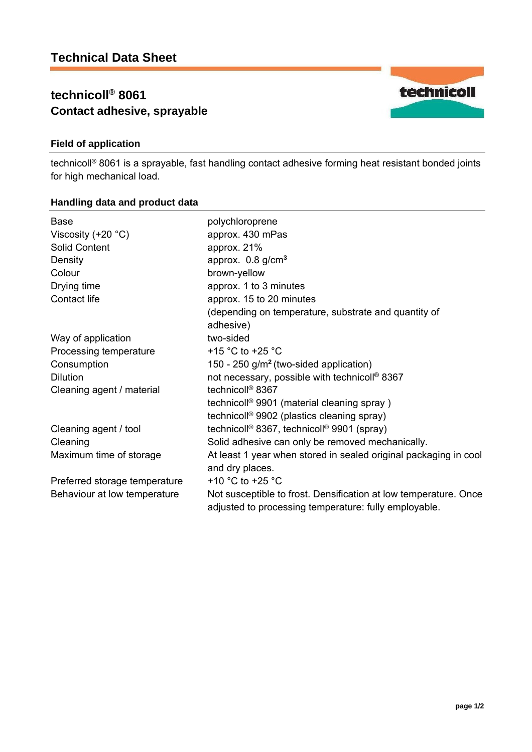# **technicoll® 8061 Contact adhesive, sprayable**

## **Field of application**

technicoll® 8061 is a sprayable, fast handling contact adhesive forming heat resistant bonded joints for high mechanical load.

### **Handling data and product data**

| Base                          | polychloroprene                                                                                                           |
|-------------------------------|---------------------------------------------------------------------------------------------------------------------------|
| Viscosity $(+20 °C)$          | approx. 430 mPas                                                                                                          |
| <b>Solid Content</b>          | approx. 21%                                                                                                               |
| Density                       | approx. $0.8$ g/cm <sup>3</sup>                                                                                           |
| Colour                        | brown-yellow                                                                                                              |
| Drying time                   | approx. 1 to 3 minutes                                                                                                    |
| Contact life                  | approx. 15 to 20 minutes                                                                                                  |
|                               | (depending on temperature, substrate and quantity of                                                                      |
|                               | adhesive)                                                                                                                 |
| Way of application            | two-sided                                                                                                                 |
| Processing temperature        | +15 $^{\circ}$ C to +25 $^{\circ}$ C                                                                                      |
| Consumption                   | 150 - 250 $g/m2$ (two-sided application)                                                                                  |
| <b>Dilution</b>               | not necessary, possible with technicoll <sup>®</sup> 8367                                                                 |
| Cleaning agent / material     | technicoll <sup>®</sup> 8367                                                                                              |
|                               | technicoll <sup>®</sup> 9901 (material cleaning spray)                                                                    |
|                               | technicoll <sup>®</sup> 9902 (plastics cleaning spray)                                                                    |
| Cleaning agent / tool         | technicoll <sup>®</sup> 8367, technicoll <sup>®</sup> 9901 (spray)                                                        |
| Cleaning                      | Solid adhesive can only be removed mechanically.                                                                          |
| Maximum time of storage       | At least 1 year when stored in sealed original packaging in cool                                                          |
|                               | and dry places.                                                                                                           |
| Preferred storage temperature | +10 $^{\circ}$ C to +25 $^{\circ}$ C                                                                                      |
| Behaviour at low temperature  | Not susceptible to frost. Densification at low temperature. Once<br>adjusted to processing temperature: fully employable. |